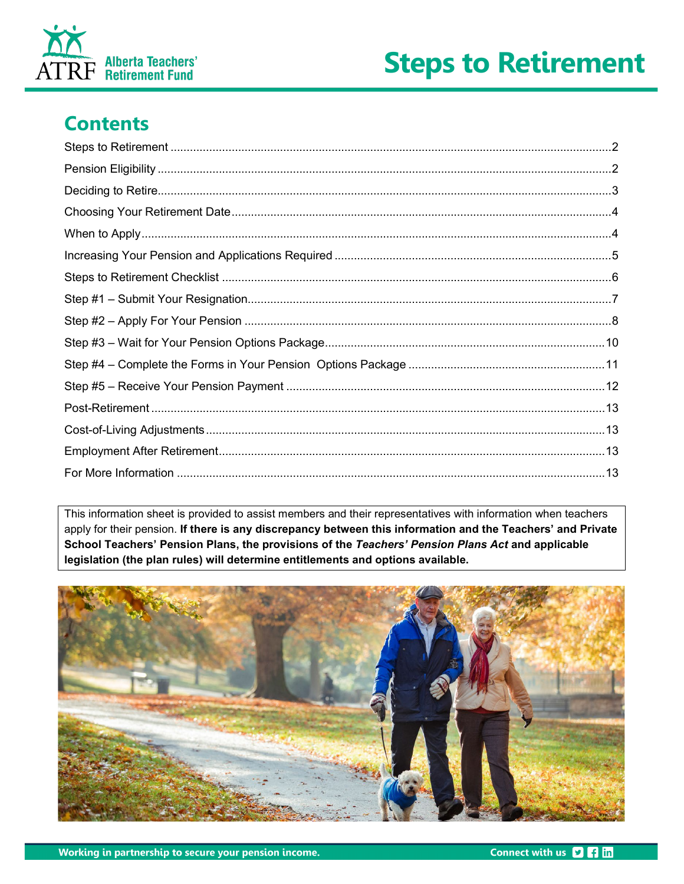



## **Contents**

This information sheet is provided to assist members and their representatives with information when teachers apply for their pension. If there is any discrepancy between this information and the Teachers' and Private School Teachers' Pension Plans, the provisions of the Teachers' Pension Plans Act and applicable legislation (the plan rules) will determine entitlements and options available.

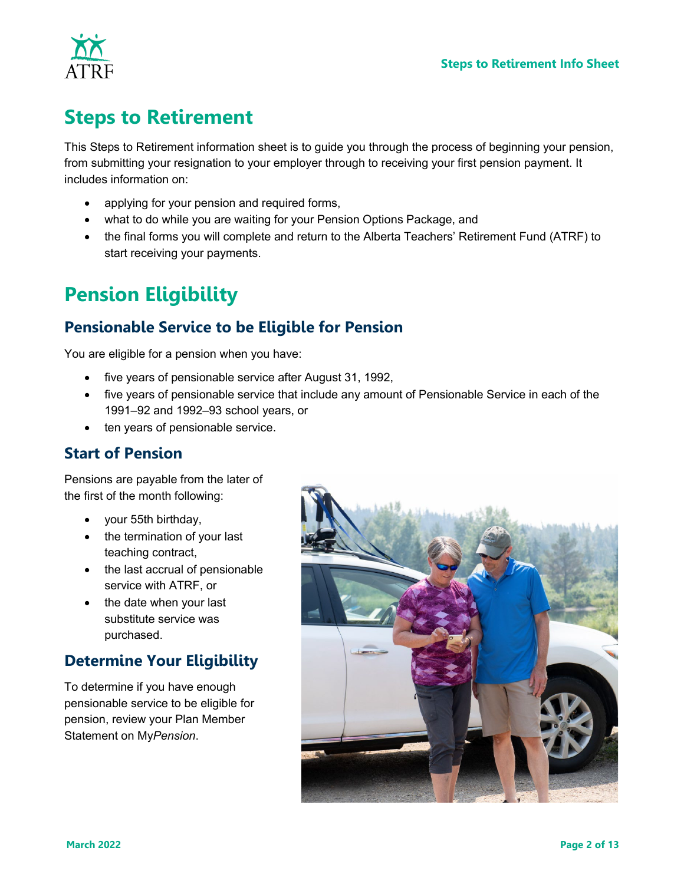

## <span id="page-1-0"></span>**Steps to Retirement**

This Steps to Retirement information sheet is to guide you through the process of beginning your pension, from submitting your resignation to your employer through to receiving your first pension payment. It includes information on:

- applying for your pension and required forms,
- what to do while you are waiting for your Pension Options Package, and
- the final forms you will complete and return to the Alberta Teachers' Retirement Fund (ATRF) to start receiving your payments.

## <span id="page-1-1"></span>**Pension Eligibility**

### **Pensionable Service to be Eligible for Pension**

You are eligible for a pension when you have:

- five years of pensionable service after August 31, 1992,
- five years of pensionable service that include any amount of Pensionable Service in each of the 1991–92 and 1992–93 school years, or
- ten years of pensionable service.

### **Start of Pension**

Pensions are payable from the later of the first of the month following:

- your 55th birthday,
- the termination of your last teaching contract,
- the last accrual of pensionable service with ATRF, or
- the date when your last substitute service was purchased.

### **Determine Your Eligibility**

To determine if you have enough pensionable service to be eligible for pension, review your Plan Member Statement on My*Pension*.

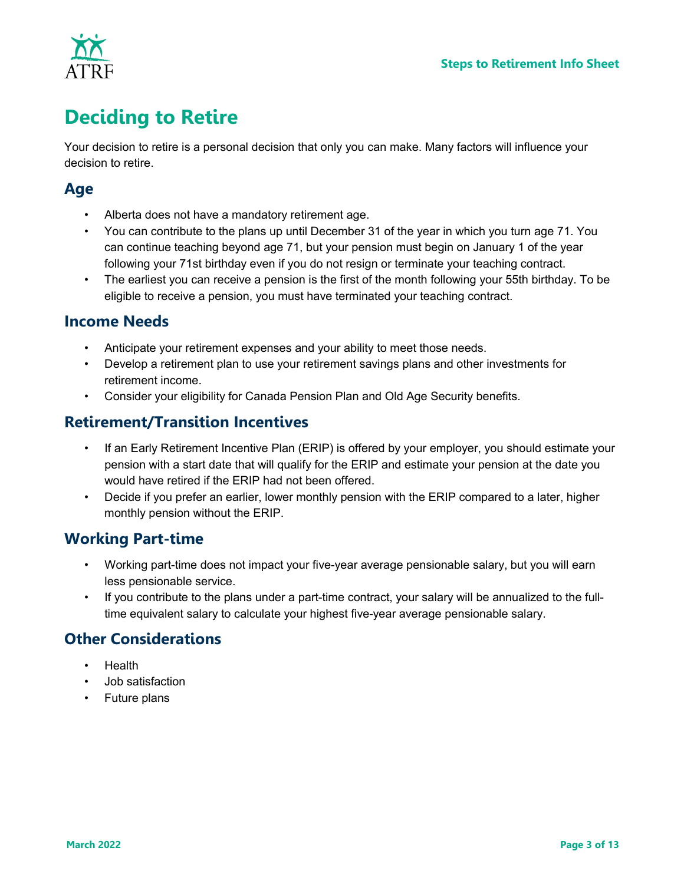

# <span id="page-2-0"></span>**Deciding to Retire**

Your decision to retire is a personal decision that only you can make. Many factors will influence your decision to retire.

### **Age**

- Alberta does not have a mandatory retirement age.
- You can contribute to the plans up until December 31 of the year in which you turn age 71. You can continue teaching beyond age 71, but your pension must begin on January 1 of the year following your 71st birthday even if you do not resign or terminate your teaching contract.
- The earliest you can receive a pension is the first of the month following your 55th birthday. To be eligible to receive a pension, you must have terminated your teaching contract.

### **Income Needs**

- Anticipate your retirement expenses and your ability to meet those needs.
- Develop a retirement plan to use your retirement savings plans and other investments for retirement income.
- Consider your eligibility for Canada Pension Plan and Old Age Security benefits.

### **Retirement/Transition Incentives**

- If an Early Retirement Incentive Plan (ERIP) is offered by your employer, you should estimate your pension with a start date that will qualify for the ERIP and estimate your pension at the date you would have retired if the ERIP had not been offered.
- Decide if you prefer an earlier, lower monthly pension with the ERIP compared to a later, higher monthly pension without the ERIP.

### **Working Part-time**

- Working part-time does not impact your five-year average pensionable salary, but you will earn less pensionable service.
- If you contribute to the plans under a part-time contract, your salary will be annualized to the fulltime equivalent salary to calculate your highest five-year average pensionable salary.

### **Other Considerations**

- Health
- Job satisfaction
- Future plans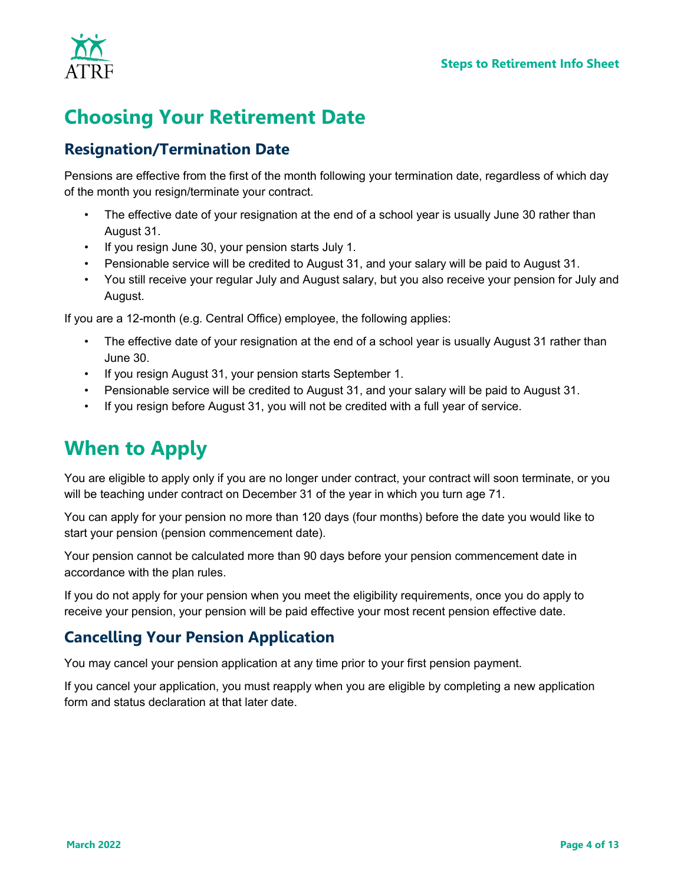

# <span id="page-3-0"></span>**Choosing Your Retirement Date**

### **Resignation/Termination Date**

Pensions are effective from the first of the month following your termination date, regardless of which day of the month you resign/terminate your contract.

- The effective date of your resignation at the end of a school year is usually June 30 rather than August 31.
- If you resign June 30, your pension starts July 1.
- Pensionable service will be credited to August 31, and your salary will be paid to August 31.
- You still receive your regular July and August salary, but you also receive your pension for July and August.

If you are a 12-month (e.g. Central Office) employee, the following applies:

- The effective date of your resignation at the end of a school year is usually August 31 rather than June 30.
- If you resign August 31, your pension starts September 1.
- Pensionable service will be credited to August 31, and your salary will be paid to August 31.
- If you resign before August 31, you will not be credited with a full year of service.

# <span id="page-3-1"></span>**When to Apply**

You are eligible to apply only if you are no longer under contract, your contract will soon terminate, or you will be teaching under contract on December 31 of the year in which you turn age 71.

You can apply for your pension no more than 120 days (four months) before the date you would like to start your pension (pension commencement date).

Your pension cannot be calculated more than 90 days before your pension commencement date in accordance with the plan rules.

If you do not apply for your pension when you meet the eligibility requirements, once you do apply to receive your pension, your pension will be paid effective your most recent pension effective date.

### **Cancelling Your Pension Application**

You may cancel your pension application at any time prior to your first pension payment.

If you cancel your application, you must reapply when you are eligible by completing a new application form and status declaration at that later date.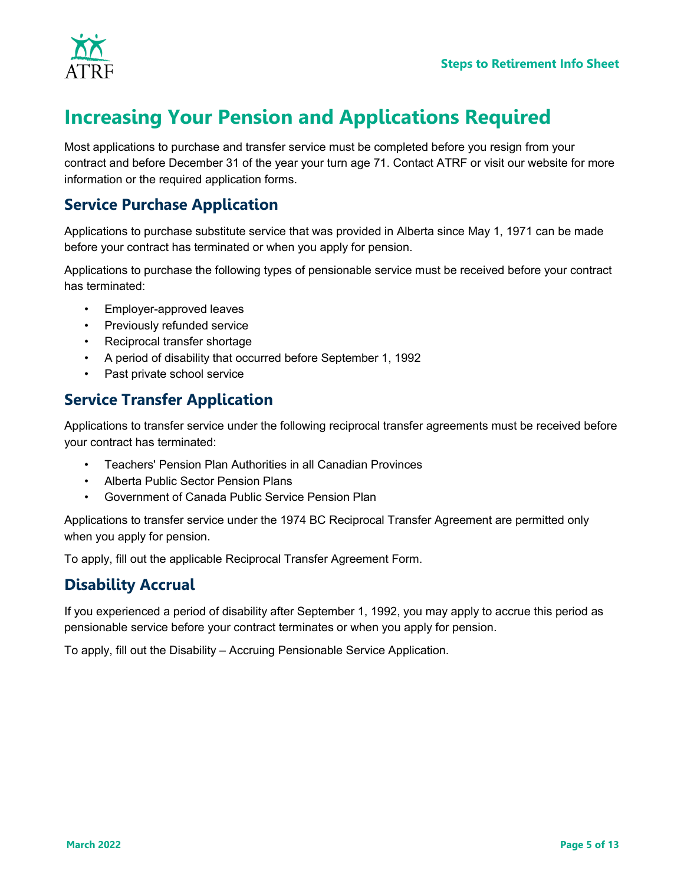

# <span id="page-4-0"></span>**Increasing Your Pension and Applications Required**

Most applications to purchase and transfer service must be completed before you resign from your contract and before December 31 of the year your turn age 71. Contact ATRF or visit our website for more information or the required application forms.

### **Service Purchase Application**

Applications to purchase substitute service that was provided in Alberta since May 1, 1971 can be made before your contract has terminated or when you apply for pension.

Applications to purchase the following types of pensionable service must be received before your contract has terminated:

- Employer-approved leaves
- Previously refunded service
- Reciprocal transfer shortage
- A period of disability that occurred before September 1, 1992
- Past private school service

### **Service Transfer Application**

Applications to transfer service under the following reciprocal transfer agreements must be received before your contract has terminated:

- Teachers' Pension Plan Authorities in all Canadian Provinces
- Alberta Public Sector Pension Plans
- Government of Canada Public Service Pension Plan

Applications to transfer service under the 1974 BC Reciprocal Transfer Agreement are permitted only when you apply for pension.

To apply, fill out the applicable Reciprocal Transfer Agreement Form.

### **Disability Accrual**

If you experienced a period of disability after September 1, 1992, you may apply to accrue this period as pensionable service before your contract terminates or when you apply for pension.

To apply, fill out the Disability – Accruing Pensionable Service Application.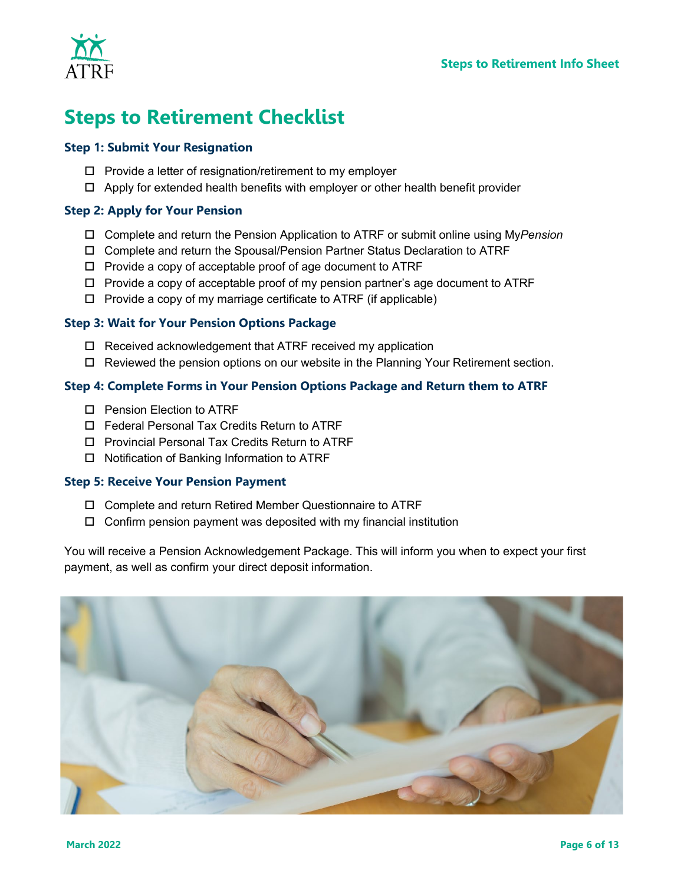

# <span id="page-5-0"></span>**Steps to Retirement Checklist**

#### **Step 1: Submit Your Resignation**

- $\Box$  Provide a letter of resignation/retirement to my employer
- $\Box$  Apply for extended health benefits with employer or other health benefit provider

#### **Step 2: Apply for Your Pension**

- Complete and return the Pension Application to ATRF or submit online using My*Pension*
- Complete and return the Spousal/Pension Partner Status Declaration to ATRF
- $\Box$  Provide a copy of acceptable proof of age document to ATRF
- $\Box$  Provide a copy of acceptable proof of my pension partner's age document to ATRF
- $\Box$  Provide a copy of my marriage certificate to ATRF (if applicable)

#### **Step 3: Wait for Your Pension Options Package**

- $\Box$  Received acknowledgement that ATRF received my application
- □ Reviewed the pension options on our website in the Planning Your Retirement section.

#### **Step 4: Complete Forms in Your Pension Options Package and Return them to ATRF**

- □ Pension Election to ATRF
- □ Federal Personal Tax Credits Return to ATRF
- □ Provincial Personal Tax Credits Return to ATRF
- $\Box$  Notification of Banking Information to ATRF

#### **Step 5: Receive Your Pension Payment**

- Complete and return Retired Member Questionnaire to ATRF
- $\Box$  Confirm pension payment was deposited with my financial institution

You will receive a Pension Acknowledgement Package. This will inform you when to expect your first payment, as well as confirm your direct deposit information.

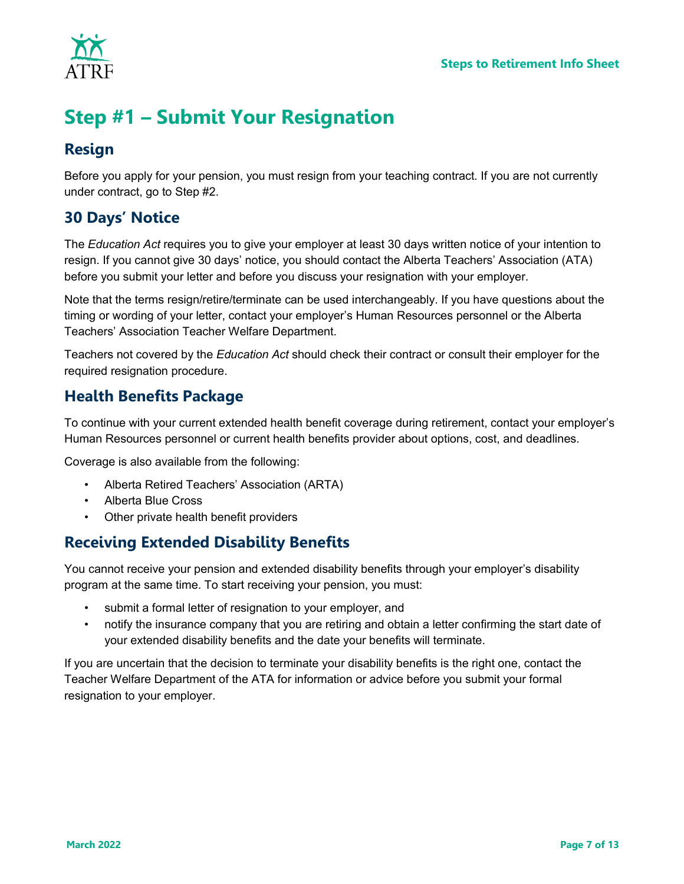

# <span id="page-6-0"></span>**Step #1 – Submit Your Resignation**

### **Resign**

Before you apply for your pension, you must resign from your teaching contract. If you are not currently under contract, go to Step #2.

### **30 Days' Notice**

The *Education Act* requires you to give your employer at least 30 days written notice of your intention to resign. If you cannot give 30 days' notice, you should contact the Alberta Teachers' Association (ATA) before you submit your letter and before you discuss your resignation with your employer.

Note that the terms resign/retire/terminate can be used interchangeably. If you have questions about the timing or wording of your letter, contact your employer's Human Resources personnel or the Alberta Teachers' Association Teacher Welfare Department.

Teachers not covered by the *Education Act* should check their contract or consult their employer for the required resignation procedure.

### **Health Benefits Package**

To continue with your current extended health benefit coverage during retirement, contact your employer's Human Resources personnel or current health benefits provider about options, cost, and deadlines.

Coverage is also available from the following:

- Alberta Retired Teachers' Association (ARTA)
- Alberta Blue Cross
- Other private health benefit providers

### **Receiving Extended Disability Benefits**

You cannot receive your pension and extended disability benefits through your employer's disability program at the same time. To start receiving your pension, you must:

- submit a formal letter of resignation to your employer, and
- notify the insurance company that you are retiring and obtain a letter confirming the start date of your extended disability benefits and the date your benefits will terminate.

If you are uncertain that the decision to terminate your disability benefits is the right one, contact the Teacher Welfare Department of the ATA for information or advice before you submit your formal resignation to your employer.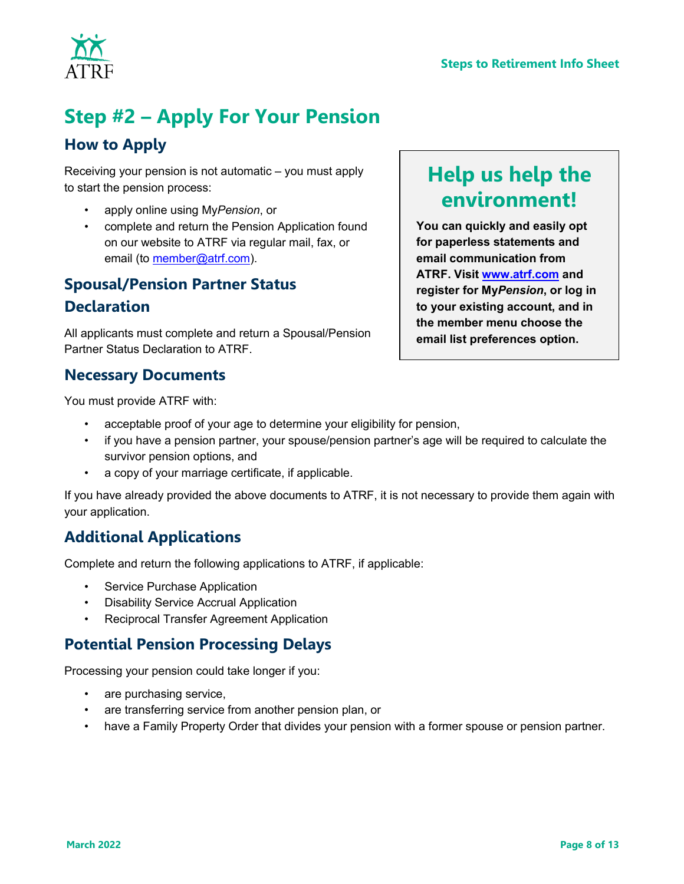

# <span id="page-7-0"></span>**Step #2 – Apply For Your Pension**

### **How to Apply**

Receiving your pension is not automatic – you must apply to start the pension process:

- apply online using My*Pension*, or
- complete and return the Pension Application found on our website to ATRF via regular mail, fax, or email (to [member@atrf.com\)](mailto:member@atrf.com).

## **Spousal/Pension Partner Status Declaration**

All applicants must complete and return a Spousal/Pension Partner Status Declaration to ATRF.

### **Necessary Documents**

You must provide ATRF with:

- acceptable proof of your age to determine your eligibility for pension,
- if you have a pension partner, your spouse/pension partner's age will be required to calculate the survivor pension options, and
- a copy of your marriage certificate, if applicable.

If you have already provided the above documents to ATRF, it is not necessary to provide them again with your application.

### **Additional Applications**

Complete and return the following applications to ATRF, if applicable:

- Service Purchase Application
- Disability Service Accrual Application
- Reciprocal Transfer Agreement Application

### **Potential Pension Processing Delays**

Processing your pension could take longer if you:

- are purchasing service,
- are transferring service from another pension plan, or
- have a Family Property Order that divides your pension with a former spouse or pension partner.

# **Help us help the environment!**

**You can quickly and easily opt for paperless statements and email communication from ATRF. Visit [www.atrf.com](http://www.atrf.com/) and register for My***Pension***, or log in to your existing account, and in the member menu choose the email list preferences option.**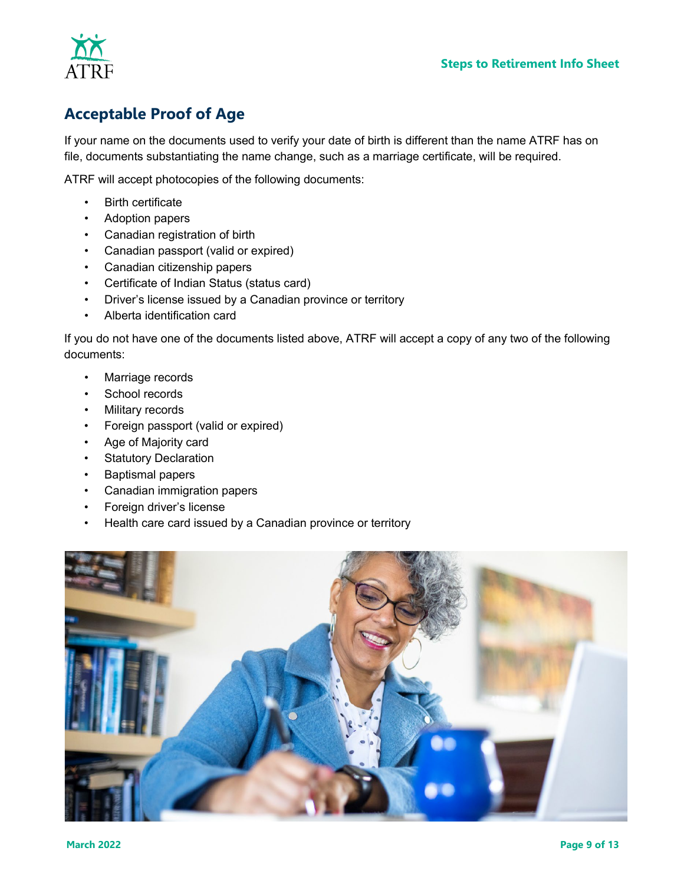



### **Acceptable Proof of Age**

If your name on the documents used to verify your date of birth is different than the name ATRF has on file, documents substantiating the name change, such as a marriage certificate, will be required.

ATRF will accept photocopies of the following documents:

- Birth certificate
- Adoption papers
- Canadian registration of birth
- Canadian passport (valid or expired)
- Canadian citizenship papers
- Certificate of Indian Status (status card)
- Driver's license issued by a Canadian province or territory
- Alberta identification card

If you do not have one of the documents listed above, ATRF will accept a copy of any two of the following documents:

- Marriage records
- School records
- Military records
- Foreign passport (valid or expired)
- Age of Majority card
- Statutory Declaration
- Baptismal papers
- Canadian immigration papers
- Foreign driver's license
- Health care card issued by a Canadian province or territory

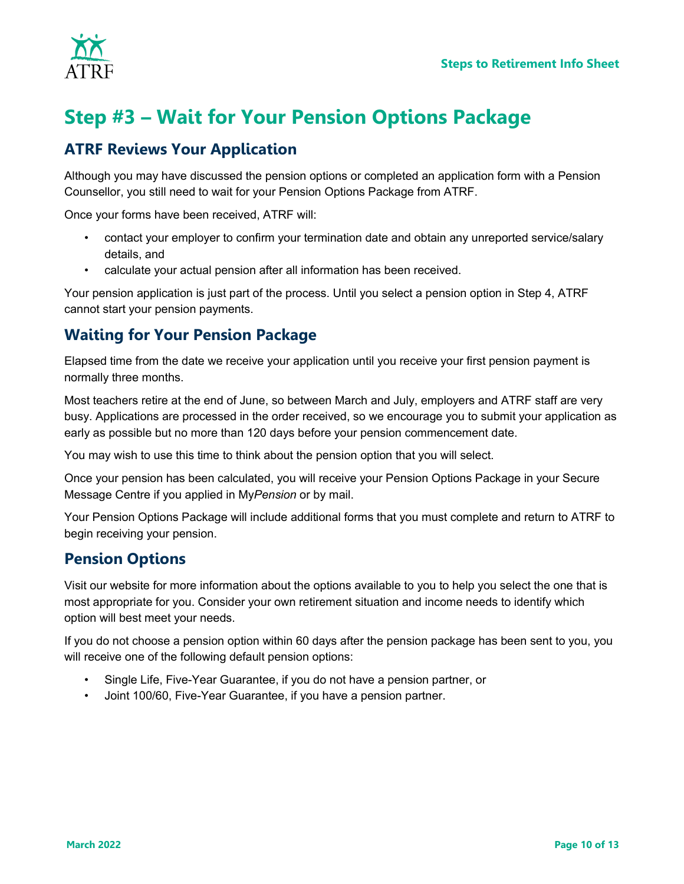

# <span id="page-9-0"></span>**Step #3 – Wait for Your Pension Options Package**

### **ATRF Reviews Your Application**

Although you may have discussed the pension options or completed an application form with a Pension Counsellor, you still need to wait for your Pension Options Package from ATRF.

Once your forms have been received, ATRF will:

- contact your employer to confirm your termination date and obtain any unreported service/salary details, and
- calculate your actual pension after all information has been received.

Your pension application is just part of the process. Until you select a pension option in Step 4, ATRF cannot start your pension payments.

### **Waiting for Your Pension Package**

Elapsed time from the date we receive your application until you receive your first pension payment is normally three months.

Most teachers retire at the end of June, so between March and July, employers and ATRF staff are very busy. Applications are processed in the order received, so we encourage you to submit your application as early as possible but no more than 120 days before your pension commencement date.

You may wish to use this time to think about the pension option that you will select.

Once your pension has been calculated, you will receive your Pension Options Package in your Secure Message Centre if you applied in My*Pension* or by mail.

Your Pension Options Package will include additional forms that you must complete and return to ATRF to begin receiving your pension.

### **Pension Options**

Visit our website for more information about the options available to you to help you select the one that is most appropriate for you. Consider your own retirement situation and income needs to identify which option will best meet your needs.

If you do not choose a pension option within 60 days after the pension package has been sent to you, you will receive one of the following default pension options:

- Single Life, Five-Year Guarantee, if you do not have a pension partner, or
- Joint 100/60, Five-Year Guarantee, if you have a pension partner.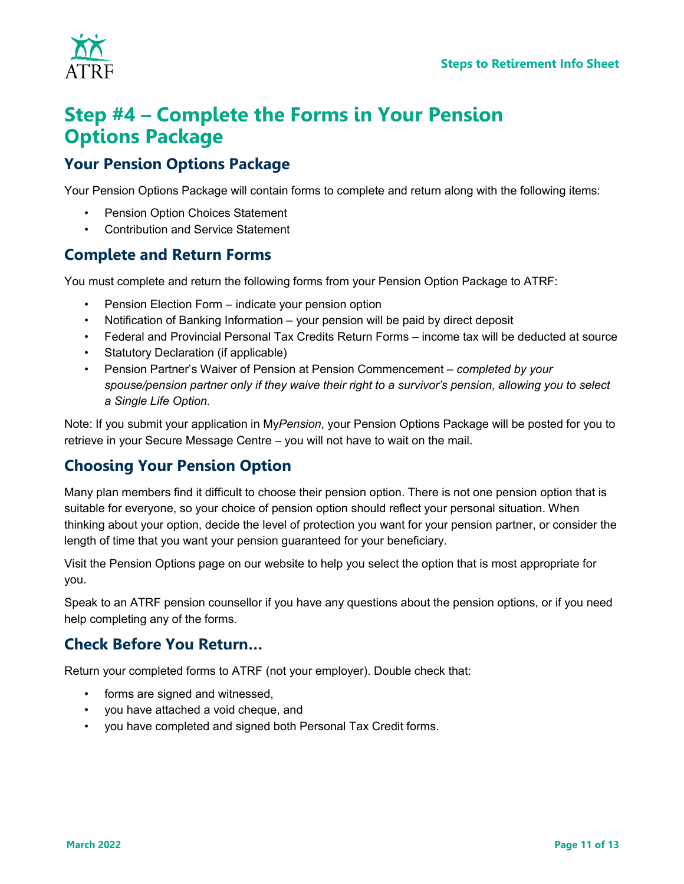

## <span id="page-10-0"></span>**Step #4 – Complete the Forms in Your Pension Options Package**

### **Your Pension Options Package**

Your Pension Options Package will contain forms to complete and return along with the following items:

- Pension Option Choices Statement
- Contribution and Service Statement

### **Complete and Return Forms**

You must complete and return the following forms from your Pension Option Package to ATRF:

- Pension Election Form indicate your pension option
- Notification of Banking Information your pension will be paid by direct deposit
- Federal and Provincial Personal Tax Credits Return Forms income tax will be deducted at source
- Statutory Declaration (if applicable)
- Pension Partner's Waiver of Pension at Pension Commencement *completed by your spouse/pension partner only if they waive their right to a survivor's pension, allowing you to select a Single Life Option.*

Note: If you submit your application in My*Pension*, your Pension Options Package will be posted for you to retrieve in your Secure Message Centre – you will not have to wait on the mail.

### **Choosing Your Pension Option**

Many plan members find it difficult to choose their pension option. There is not one pension option that is suitable for everyone, so your choice of pension option should reflect your personal situation. When thinking about your option, decide the level of protection you want for your pension partner, or consider the length of time that you want your pension guaranteed for your beneficiary.

Visit the Pension Options page on our website to help you select the option that is most appropriate for you.

Speak to an ATRF pension counsellor if you have any questions about the pension options, or if you need help completing any of the forms.

### **Check Before You Return…**

Return your completed forms to ATRF (not your employer). Double check that:

- forms are signed and witnessed,
- you have attached a void cheque, and
- you have completed and signed both Personal Tax Credit forms.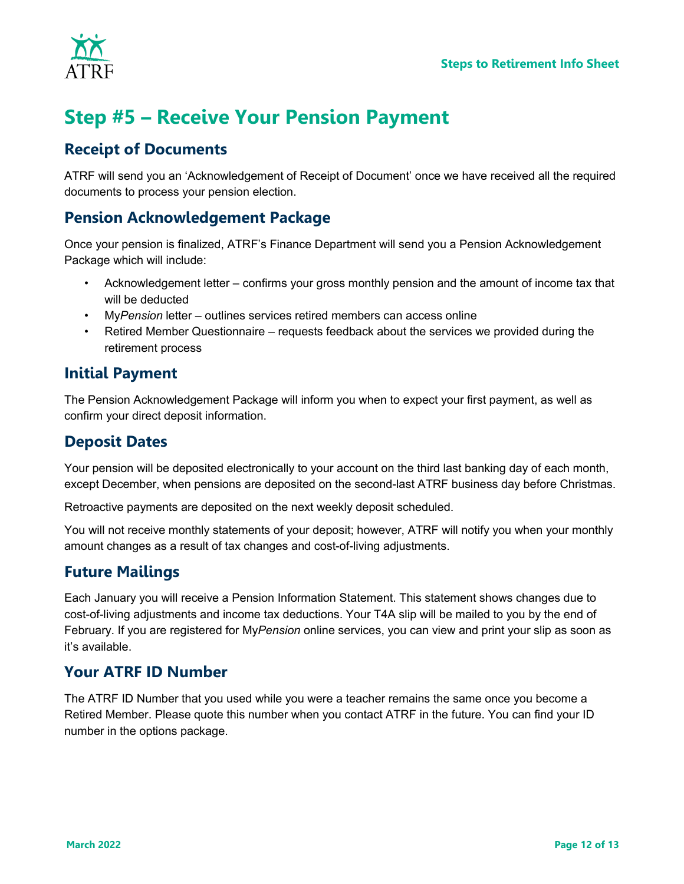

# <span id="page-11-0"></span>**Step #5 – Receive Your Pension Payment**

### **Receipt of Documents**

ATRF will send you an 'Acknowledgement of Receipt of Document' once we have received all the required documents to process your pension election.

### **Pension Acknowledgement Package**

Once your pension is finalized, ATRF's Finance Department will send you a Pension Acknowledgement Package which will include:

- Acknowledgement letter confirms your gross monthly pension and the amount of income tax that will be deducted
- My*Pension* letter outlines services retired members can access online
- Retired Member Questionnaire requests feedback about the services we provided during the retirement process

### **Initial Payment**

The Pension Acknowledgement Package will inform you when to expect your first payment, as well as confirm your direct deposit information.

### **Deposit Dates**

Your pension will be deposited electronically to your account on the third last banking day of each month, except December, when pensions are deposited on the second-last ATRF business day before Christmas.

Retroactive payments are deposited on the next weekly deposit scheduled.

You will not receive monthly statements of your deposit; however, ATRF will notify you when your monthly amount changes as a result of tax changes and cost-of-living adjustments.

### **Future Mailings**

Each January you will receive a Pension Information Statement. This statement shows changes due to cost-of-living adjustments and income tax deductions. Your T4A slip will be mailed to you by the end of February. If you are registered for My*Pension* online services, you can view and print your slip as soon as it's available.

### **Your ATRF ID Number**

The ATRF ID Number that you used while you were a teacher remains the same once you become a Retired Member. Please quote this number when you contact ATRF in the future. You can find your ID number in the options package.